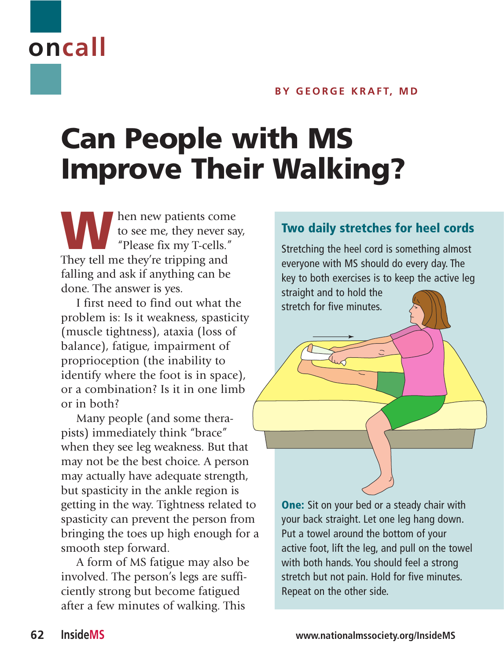## **BY GEORGE KRAFT, MD**

## **Can People with MS Improve Their Walking?**

**WARE SET ASSESS**<br>to see me, they never say "Please fix my T-cells." to see me, they never say, "Please fix my T-cells." They tell me they're tripping and falling and ask if anything can be done. The answer is yes.

I first need to find out what the problem is: Is it weakness, spasticity (muscle tightness), ataxia (loss of balance), fatigue, impairment of proprioception (the inability to identify where the foot is in space), or a combination? Is it in one limb or in both?

Many people (and some therapists) immediately think "brace" when they see leg weakness. But that may not be the best choice. A person may actually have adequate strength, but spasticity in the ankle region is getting in the way. Tightness related to spasticity can prevent the person from bringing the toes up high enough for a smooth step forward.

A form of MS fatigue may also be involved. The person's legs are sufficiently strong but become fatigued after a few minutes of walking. This

## **Two daily stretches for heel cords**

Stretching the heel cord is something almost everyone with MS should do every day. The key to both exercises is to keep the active leg

straight and to hold the stretch for five minutes.

**One:** Sit on your bed or a steady chair with your back straight. Let one leg hang down. Put a towel around the bottom of your active foot, lift the leg, and pull on the towel with both hands. You should feel a strong stretch but not pain. Hold for five minutes. Repeat on the other side.

**oncall**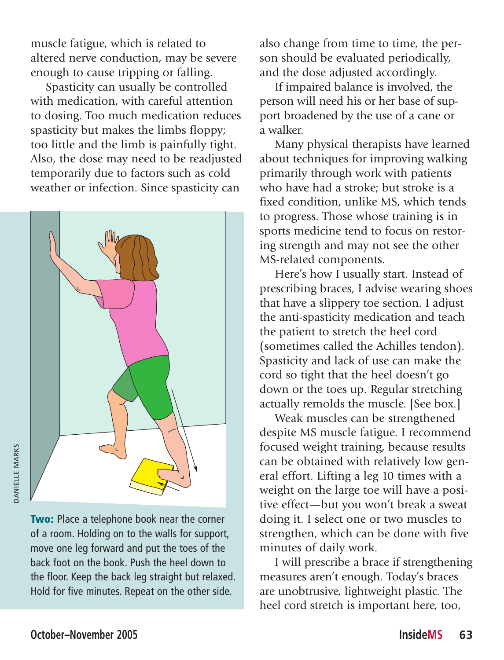muscle fatigue, which is related to altered nerve conduction, may be severe enough to cause tripping or falling.

Spasticity can usually be controlled with medication, with careful attention to dosing. Too much medication reduces spasticity but makes the limbs floppy; too little and the limb is painfully tight. Also, the dose may need to be readjusted temporarily due to factors such as cold weather or infection. Since spasticity can



**DANIELLE MARKS** DANIELLE MARKS

> **Two:** Place a telephone book near the corner of a room. Holding on to the walls for support, move one leg forward and put the toes of the back foot on the book. Push the heel down to the floor. Keep the back leg straight but relaxed. Hold for five minutes. Repeat on the other side.

also change from time to time, the person should be evaluated periodically, and the dose adjusted accordingly.

If impaired balance is involved, the person will need his or her base of support broadened by the use of a cane or a walker.

Many physical therapists have learned about techniques for improving walking primarily through work with patients who have had a stroke; but stroke is a fixed condition, unlike MS, which tends to progress. Those whose training is in sports medicine tend to focus on restoring strength and may not see the other MS-related components.

Here's how I usually start. Instead of prescribing braces, I advise wearing shoes that have a slippery toe section. I adjust the anti-spasticity medication and teach the patient to stretch the heel cord (sometimes called the Achilles tendon). Spasticity and lack of use can make the cord so tight that the heel doesn't go down or the toes up. Regular stretching actually remolds the muscle. [See box.]

Weak muscles can be strengthened despite MS muscle fatigue. I recommend focused weight training, because results can be obtained with relatively low general effort. Lifting a leg 10 times with a weight on the large toe will have a positive effect—but you won't break a sweat doing it. I select one or two muscles to strengthen, which can be done with five minutes of daily work.

I will prescribe a brace if strengthening measures aren't enough. Today's braces are unobtrusive, lightweight plastic. The heel cord stretch is important here, too,